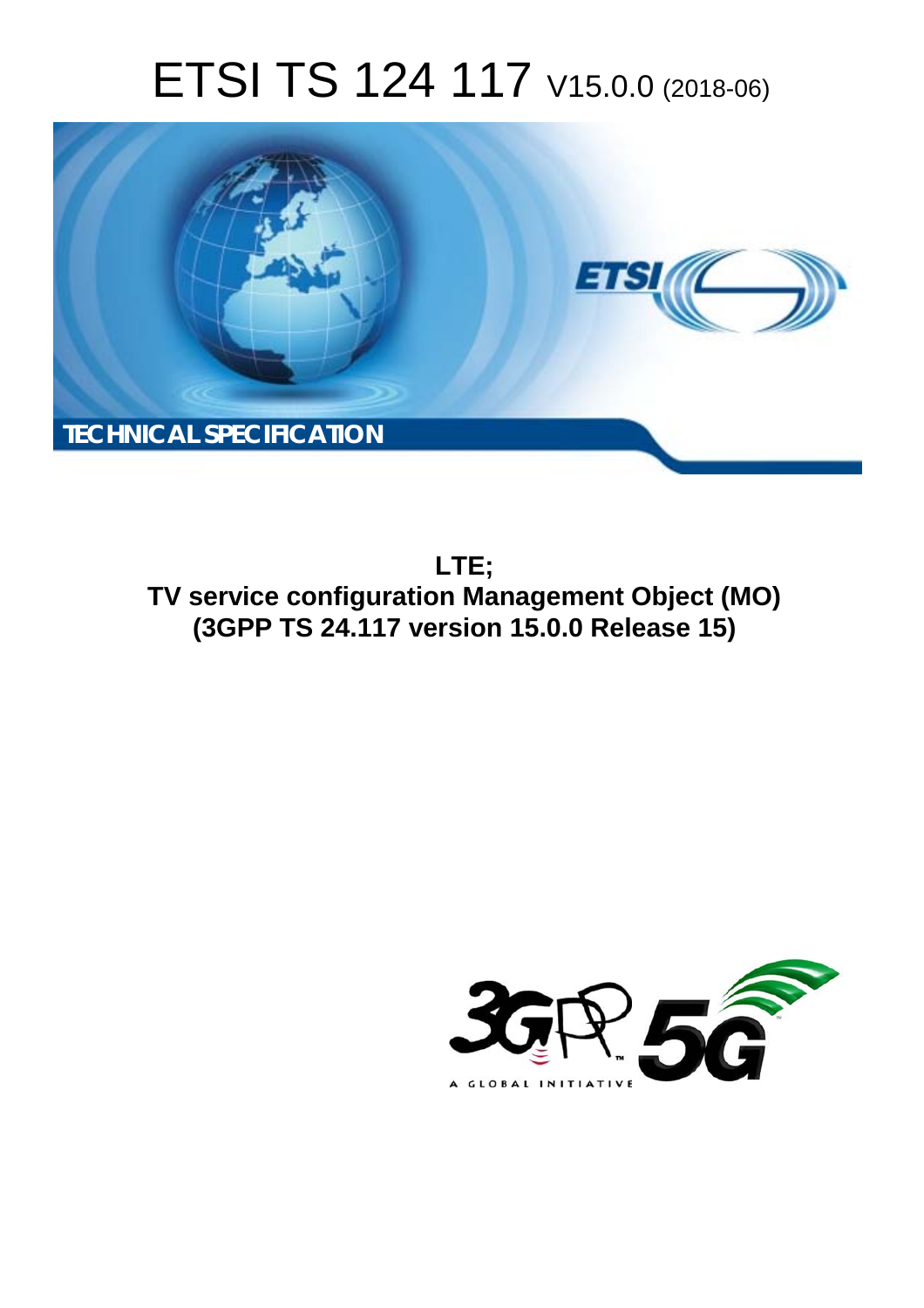# ETSI TS 124 117 V15.0.0 (2018-06)



**LTE; TV service configuration Management Object (MO) (3GPP TS 24.117 version 15.0.0 Release 15)** 

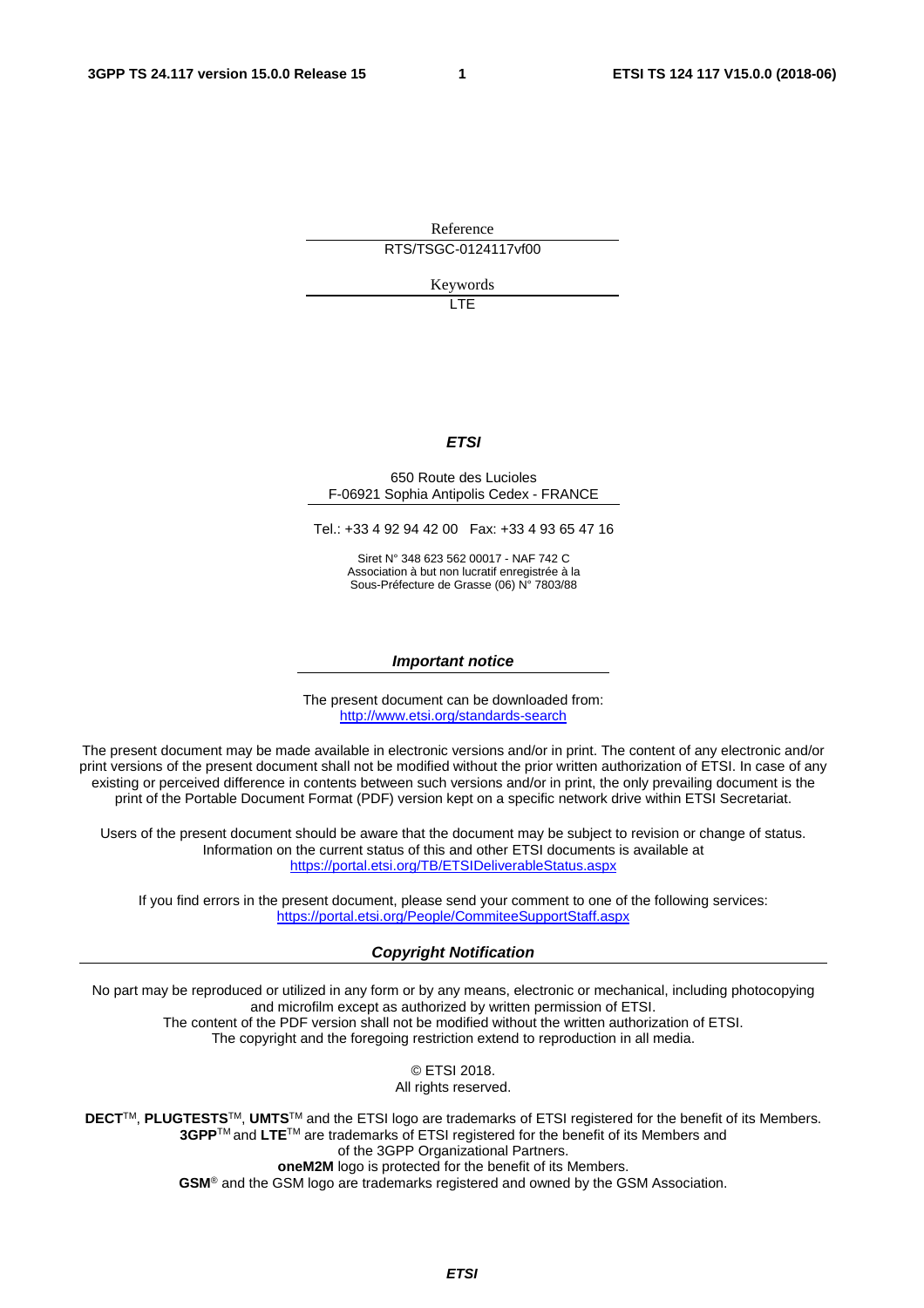Reference

RTS/TSGC-0124117vf00

Keywords

LTE

#### *ETSI*

#### 650 Route des Lucioles F-06921 Sophia Antipolis Cedex - FRANCE

Tel.: +33 4 92 94 42 00 Fax: +33 4 93 65 47 16

Siret N° 348 623 562 00017 - NAF 742 C Association à but non lucratif enregistrée à la Sous-Préfecture de Grasse (06) N° 7803/88

#### *Important notice*

The present document can be downloaded from: <http://www.etsi.org/standards-search>

The present document may be made available in electronic versions and/or in print. The content of any electronic and/or print versions of the present document shall not be modified without the prior written authorization of ETSI. In case of any existing or perceived difference in contents between such versions and/or in print, the only prevailing document is the print of the Portable Document Format (PDF) version kept on a specific network drive within ETSI Secretariat.

Users of the present document should be aware that the document may be subject to revision or change of status. Information on the current status of this and other ETSI documents is available at <https://portal.etsi.org/TB/ETSIDeliverableStatus.aspx>

If you find errors in the present document, please send your comment to one of the following services: <https://portal.etsi.org/People/CommiteeSupportStaff.aspx>

#### *Copyright Notification*

No part may be reproduced or utilized in any form or by any means, electronic or mechanical, including photocopying and microfilm except as authorized by written permission of ETSI. The content of the PDF version shall not be modified without the written authorization of ETSI. The copyright and the foregoing restriction extend to reproduction in all media.

> © ETSI 2018. All rights reserved.

**DECT**TM, **PLUGTESTS**TM, **UMTS**TM and the ETSI logo are trademarks of ETSI registered for the benefit of its Members. **3GPP**TM and **LTE**TM are trademarks of ETSI registered for the benefit of its Members and of the 3GPP Organizational Partners. **oneM2M** logo is protected for the benefit of its Members.

**GSM**® and the GSM logo are trademarks registered and owned by the GSM Association.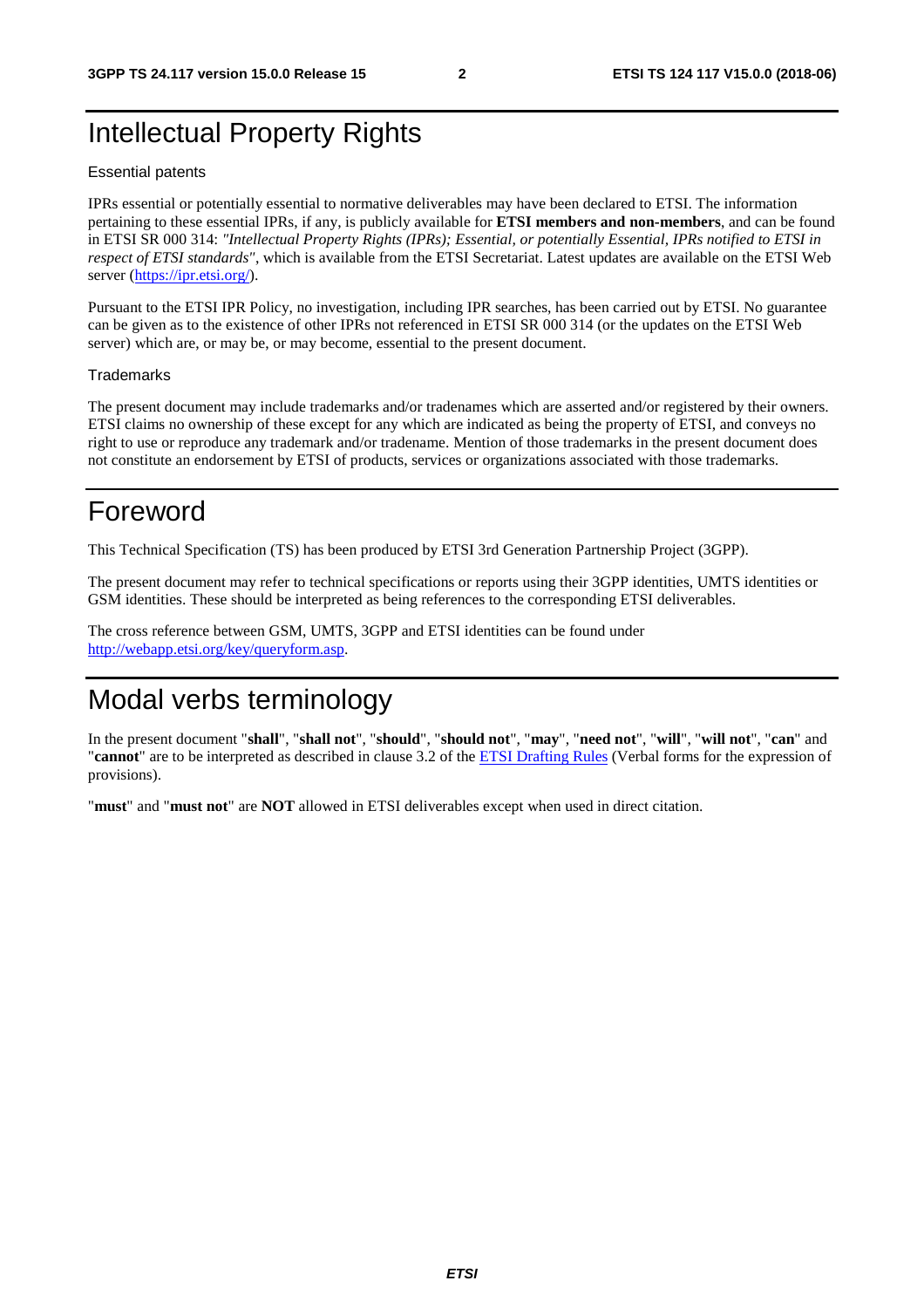### Intellectual Property Rights

#### Essential patents

IPRs essential or potentially essential to normative deliverables may have been declared to ETSI. The information pertaining to these essential IPRs, if any, is publicly available for **ETSI members and non-members**, and can be found in ETSI SR 000 314: *"Intellectual Property Rights (IPRs); Essential, or potentially Essential, IPRs notified to ETSI in respect of ETSI standards"*, which is available from the ETSI Secretariat. Latest updates are available on the ETSI Web server ([https://ipr.etsi.org/\)](https://ipr.etsi.org/).

Pursuant to the ETSI IPR Policy, no investigation, including IPR searches, has been carried out by ETSI. No guarantee can be given as to the existence of other IPRs not referenced in ETSI SR 000 314 (or the updates on the ETSI Web server) which are, or may be, or may become, essential to the present document.

#### **Trademarks**

The present document may include trademarks and/or tradenames which are asserted and/or registered by their owners. ETSI claims no ownership of these except for any which are indicated as being the property of ETSI, and conveys no right to use or reproduce any trademark and/or tradename. Mention of those trademarks in the present document does not constitute an endorsement by ETSI of products, services or organizations associated with those trademarks.

### Foreword

This Technical Specification (TS) has been produced by ETSI 3rd Generation Partnership Project (3GPP).

The present document may refer to technical specifications or reports using their 3GPP identities, UMTS identities or GSM identities. These should be interpreted as being references to the corresponding ETSI deliverables.

The cross reference between GSM, UMTS, 3GPP and ETSI identities can be found under [http://webapp.etsi.org/key/queryform.asp.](http://webapp.etsi.org/key/queryform.asp)

### Modal verbs terminology

In the present document "**shall**", "**shall not**", "**should**", "**should not**", "**may**", "**need not**", "**will**", "**will not**", "**can**" and "**cannot**" are to be interpreted as described in clause 3.2 of the [ETSI Drafting Rules](https://portal.etsi.org/Services/editHelp!/Howtostart/ETSIDraftingRules.aspx) (Verbal forms for the expression of provisions).

"**must**" and "**must not**" are **NOT** allowed in ETSI deliverables except when used in direct citation.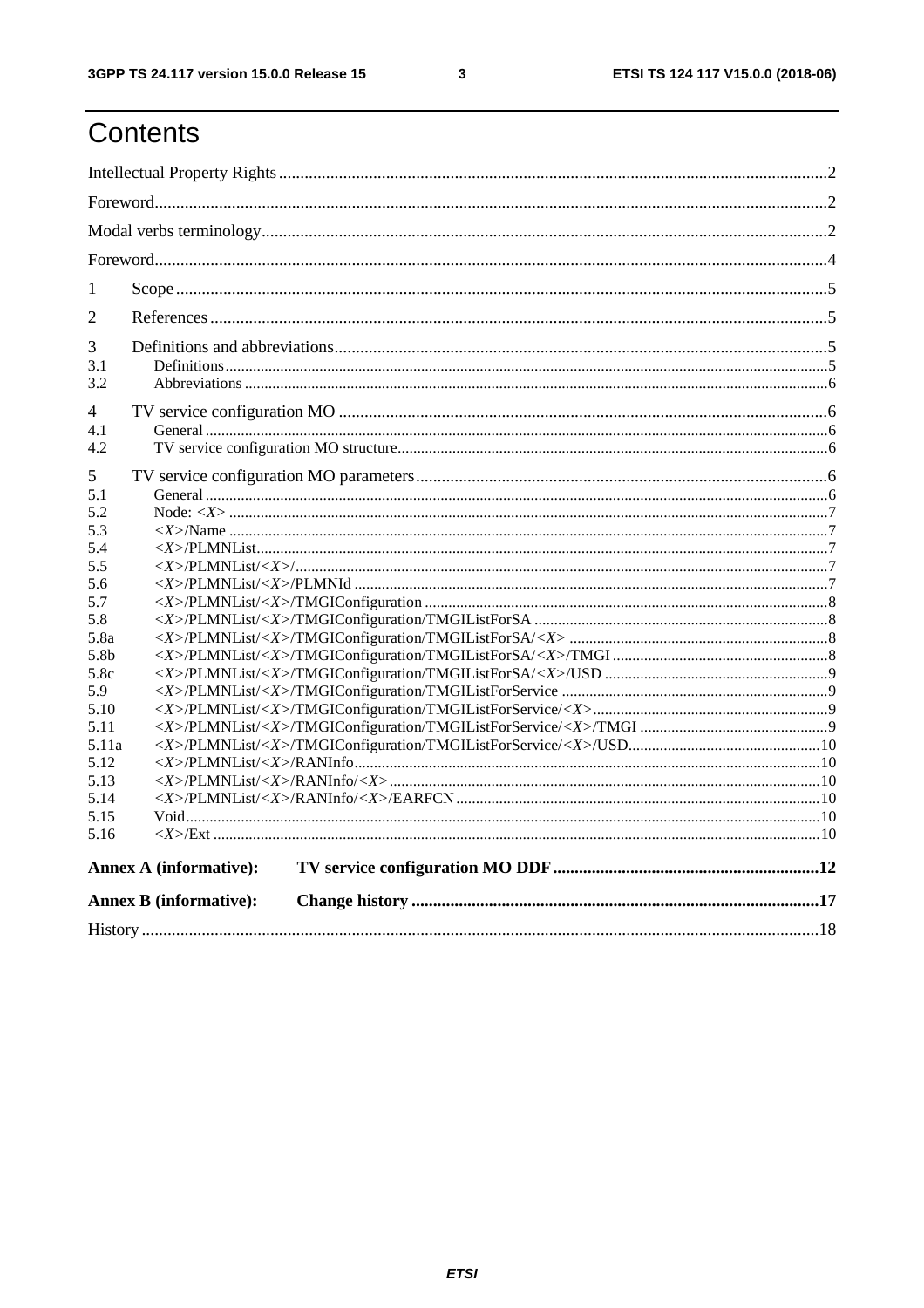## Contents

| $\mathbf{1}$             |                               |  |  |  |  |  |  |
|--------------------------|-------------------------------|--|--|--|--|--|--|
| 2                        |                               |  |  |  |  |  |  |
| 3<br>3.1<br>3.2          |                               |  |  |  |  |  |  |
| 4<br>4.1<br>4.2          |                               |  |  |  |  |  |  |
| 5<br>5.1                 |                               |  |  |  |  |  |  |
| 5.2<br>5.3<br>5.4        |                               |  |  |  |  |  |  |
| 5.5<br>5.6               |                               |  |  |  |  |  |  |
| 5.7<br>5.8<br>5.8a       |                               |  |  |  |  |  |  |
| 5.8 <sub>b</sub><br>5.8c |                               |  |  |  |  |  |  |
| 5.9<br>5.10<br>5.11      |                               |  |  |  |  |  |  |
| 5.11a<br>5.12            |                               |  |  |  |  |  |  |
| 5.13<br>5.14<br>5.15     |                               |  |  |  |  |  |  |
| 5.16                     |                               |  |  |  |  |  |  |
|                          | <b>Annex A (informative):</b> |  |  |  |  |  |  |
|                          | <b>Annex B</b> (informative): |  |  |  |  |  |  |
|                          |                               |  |  |  |  |  |  |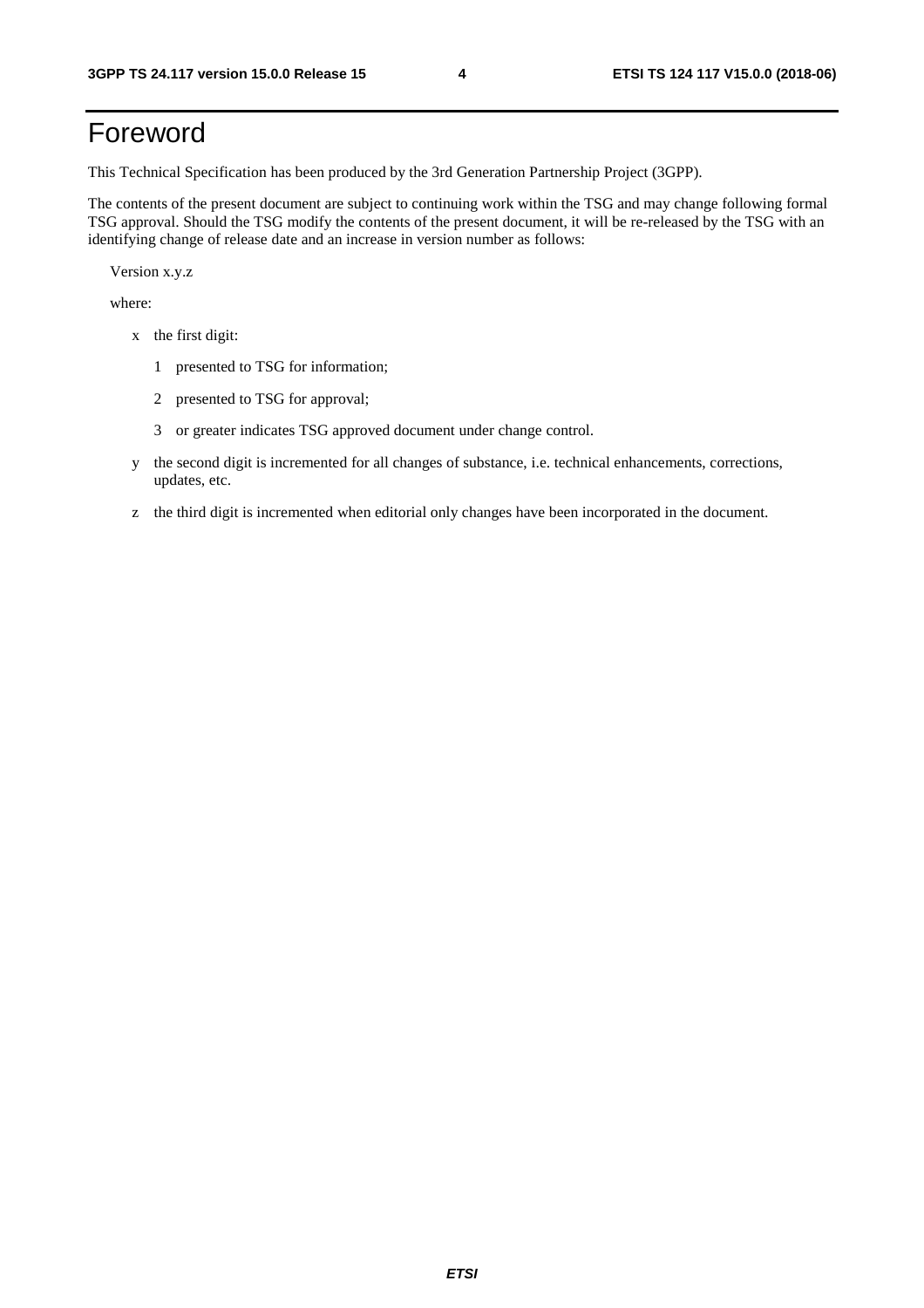## Foreword

This Technical Specification has been produced by the 3rd Generation Partnership Project (3GPP).

The contents of the present document are subject to continuing work within the TSG and may change following formal TSG approval. Should the TSG modify the contents of the present document, it will be re-released by the TSG with an identifying change of release date and an increase in version number as follows:

Version x.y.z

where:

- x the first digit:
	- 1 presented to TSG for information;
	- 2 presented to TSG for approval;
	- 3 or greater indicates TSG approved document under change control.
- y the second digit is incremented for all changes of substance, i.e. technical enhancements, corrections, updates, etc.
- z the third digit is incremented when editorial only changes have been incorporated in the document.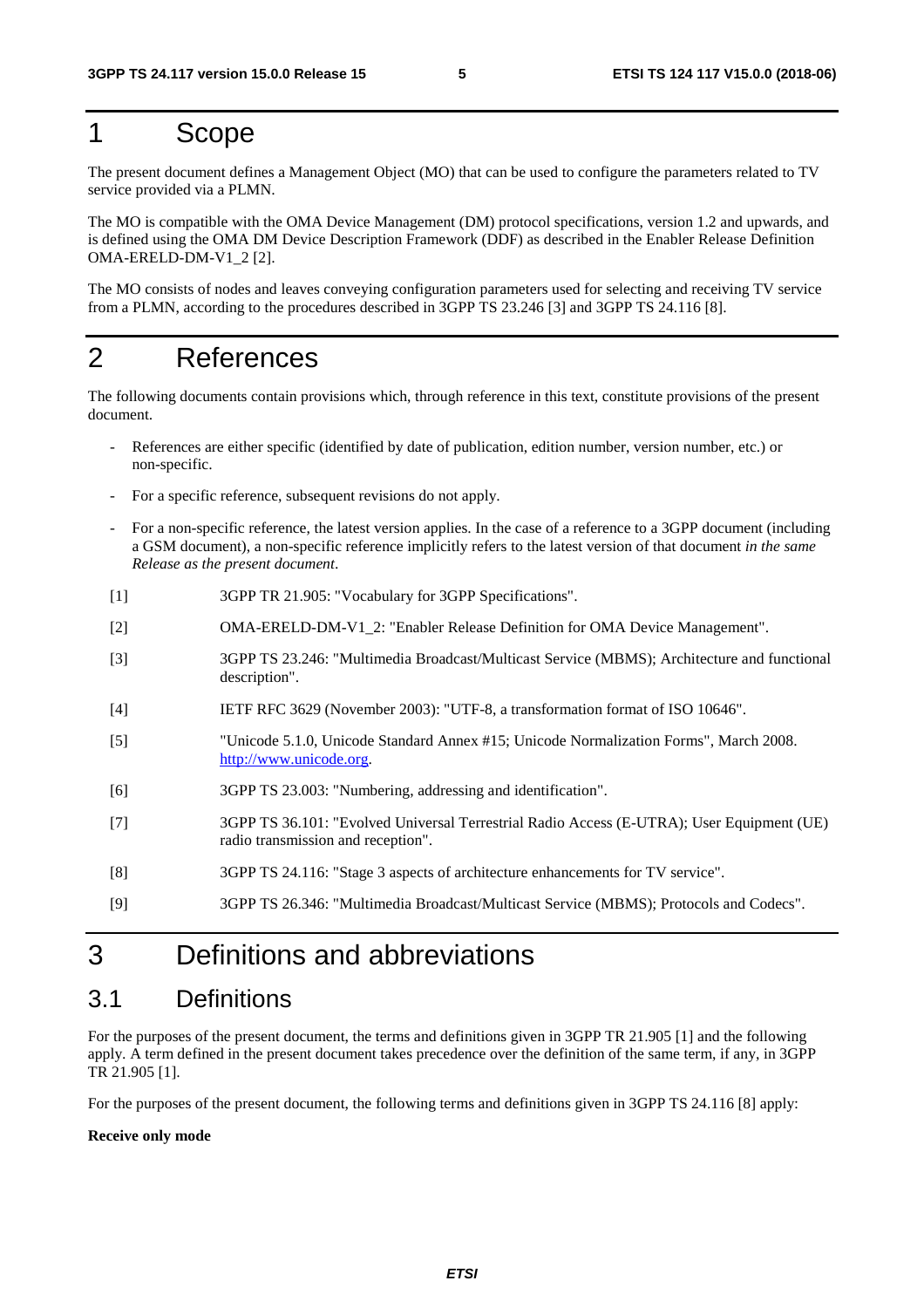### 1 Scope

The present document defines a Management Object (MO) that can be used to configure the parameters related to TV service provided via a PLMN.

The MO is compatible with the OMA Device Management (DM) protocol specifications, version 1.2 and upwards, and is defined using the OMA DM Device Description Framework (DDF) as described in the Enabler Release Definition OMA-ERELD-DM-V1\_2 [2].

The MO consists of nodes and leaves conveying configuration parameters used for selecting and receiving TV service from a PLMN, according to the procedures described in 3GPP TS 23.246 [3] and 3GPP TS 24.116 [8].

### 2 References

The following documents contain provisions which, through reference in this text, constitute provisions of the present document.

- References are either specific (identified by date of publication, edition number, version number, etc.) or non-specific.
- For a specific reference, subsequent revisions do not apply.
- For a non-specific reference, the latest version applies. In the case of a reference to a 3GPP document (including a GSM document), a non-specific reference implicitly refers to the latest version of that document *in the same Release as the present document*.
- [1] 3GPP TR 21.905: "Vocabulary for 3GPP Specifications".
- [2] OMA-ERELD-DM-V1\_2: "Enabler Release Definition for OMA Device Management".
- [3] 3GPP TS 23.246: "Multimedia Broadcast/Multicast Service (MBMS); Architecture and functional description".
- [4] IETF RFC 3629 (November 2003): "UTF-8, a transformation format of ISO 10646".
- [5] "Unicode 5.1.0, Unicode Standard Annex #15; Unicode Normalization Forms", March 2008. [http://www.unicode.org](http://www.unicode.org/).
- [6] 3GPP TS 23.003: "Numbering, addressing and identification".
- [7] 3GPP TS 36.101: "Evolved Universal Terrestrial Radio Access (E-UTRA); User Equipment (UE) radio transmission and reception".
- [8] 3GPP TS 24.116: "Stage 3 aspects of architecture enhancements for TV service".
- [9] 3GPP TS 26.346: "Multimedia Broadcast/Multicast Service (MBMS); Protocols and Codecs".

### 3 Definitions and abbreviations

#### 3.1 Definitions

For the purposes of the present document, the terms and definitions given in 3GPP TR 21.905 [1] and the following apply. A term defined in the present document takes precedence over the definition of the same term, if any, in 3GPP TR 21.905 [1].

For the purposes of the present document, the following terms and definitions given in 3GPP TS 24.116 [8] apply:

#### **Receive only mode**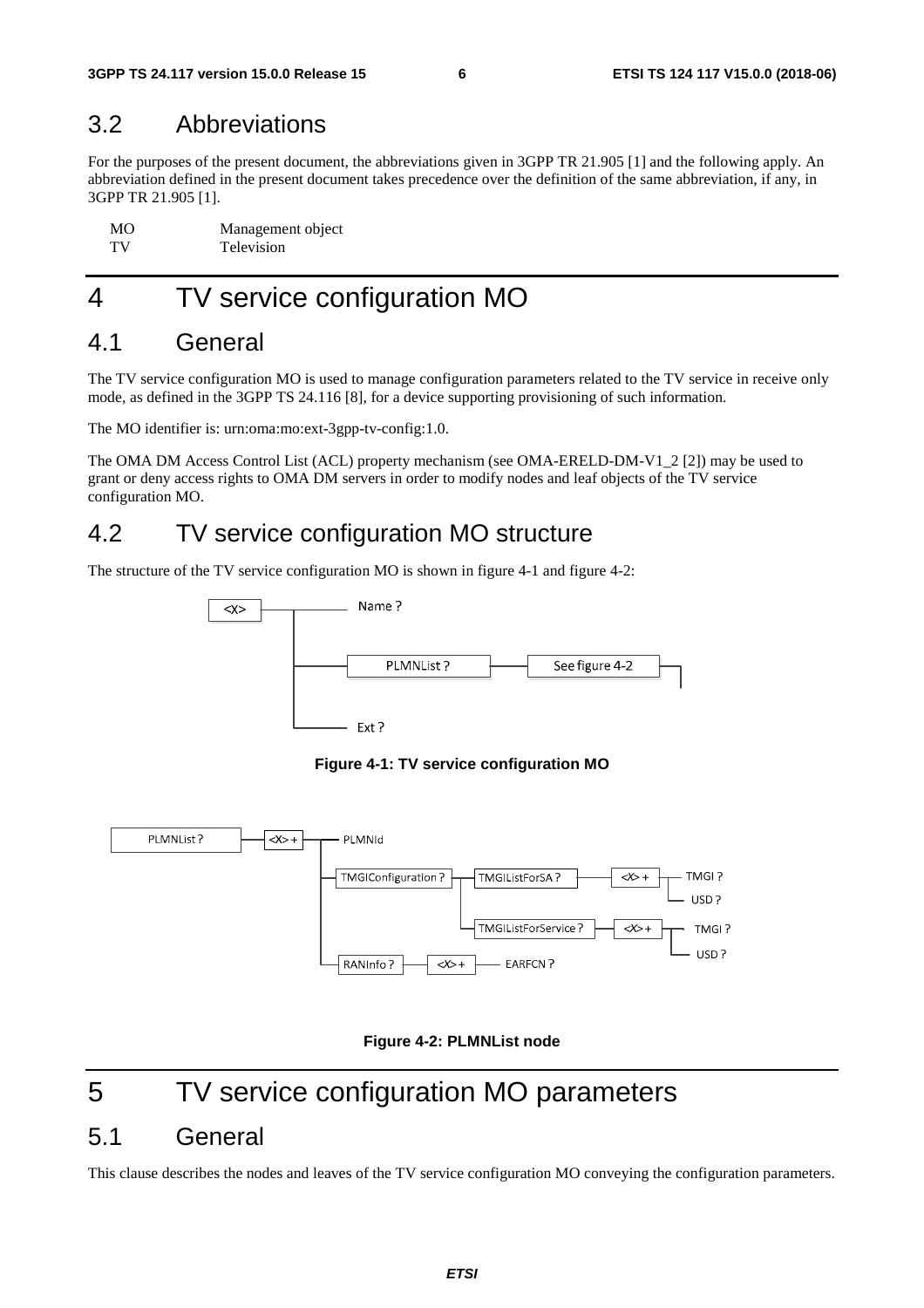#### 3.2 Abbreviations

For the purposes of the present document, the abbreviations given in 3GPP TR 21.905 [1] and the following apply. An abbreviation defined in the present document takes precedence over the definition of the same abbreviation, if any, in 3GPP TR 21.905 [1].

| <b>MO</b> | Management object |
|-----------|-------------------|
| TV        | Television        |

## 4 TV service configuration MO

#### 4.1 General

The TV service configuration MO is used to manage configuration parameters related to the TV service in receive only mode, as defined in the 3GPP TS 24.116 [8], for a device supporting provisioning of such information.

The MO identifier is: urn:oma:mo:ext-3gpp-tv-config:1.0.

The OMA DM Access Control List (ACL) property mechanism (see OMA-ERELD-DM-V1\_2 [2]) may be used to grant or deny access rights to OMA DM servers in order to modify nodes and leaf objects of the TV service configuration MO.

#### 4.2 TV service configuration MO structure

The structure of the TV service configuration MO is shown in figure 4-1 and figure 4-2:



**Figure 4-1: TV service configuration MO** 





## 5 TV service configuration MO parameters

#### 5.1 General

This clause describes the nodes and leaves of the TV service configuration MO conveying the configuration parameters.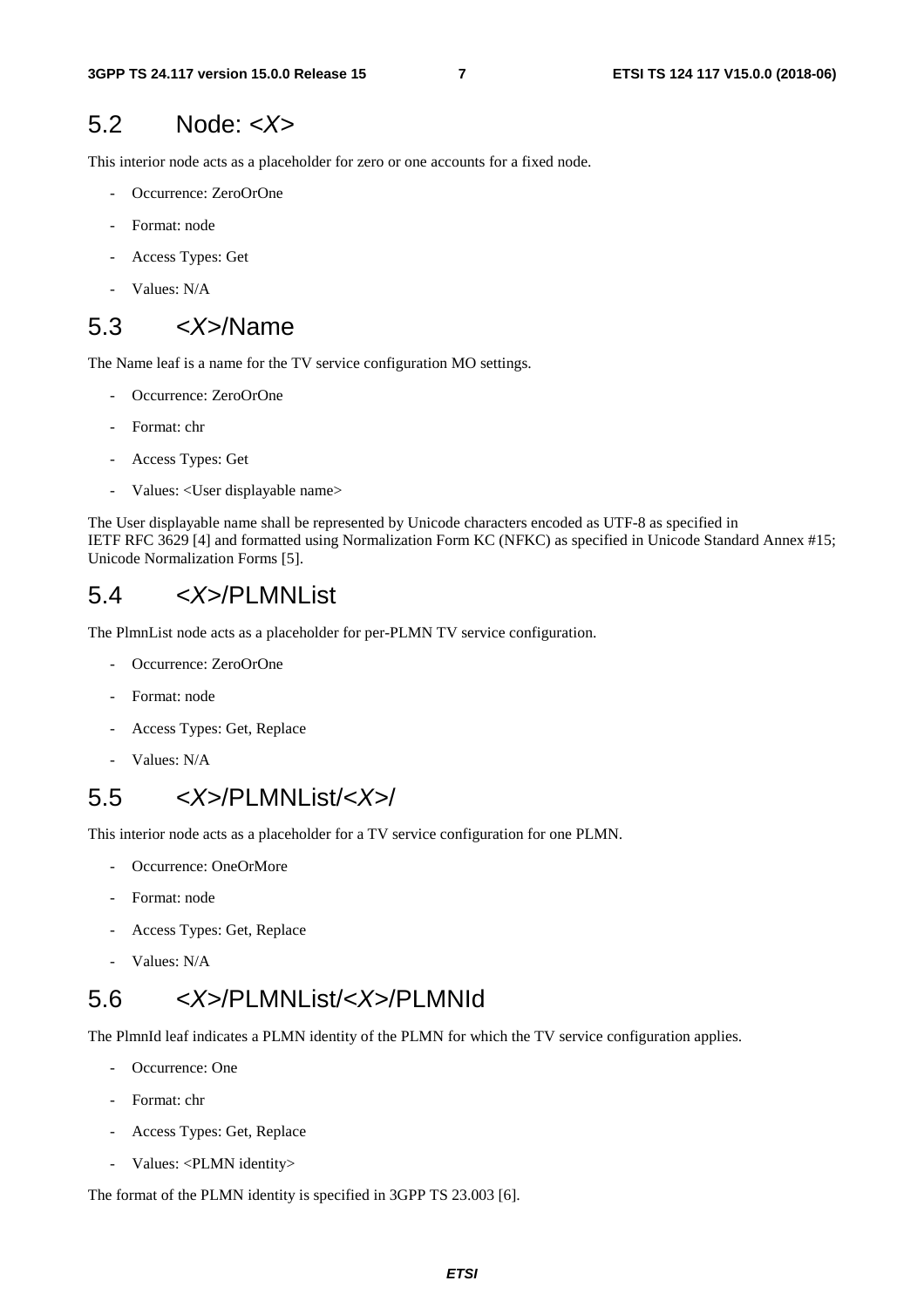#### 5.2 Node: *<X>*

This interior node acts as a placeholder for zero or one accounts for a fixed node.

- Occurrence: ZeroOrOne
- Format: node
- Access Types: Get
- Values: N/A

#### 5.3 *<X>*/Name

The Name leaf is a name for the TV service configuration MO settings.

- Occurrence: ZeroOrOne
- Format: chr
- Access Types: Get
- Values: <User displayable name>

The User displayable name shall be represented by Unicode characters encoded as UTF-8 as specified in IETF RFC 3629 [4] and formatted using Normalization Form KC (NFKC) as specified in Unicode Standard Annex #15; Unicode Normalization Forms [5].

#### 5.4 *<X>*/PLMNList

The PlmnList node acts as a placeholder for per-PLMN TV service configuration.

- Occurrence: ZeroOrOne
- Format: node
- Access Types: Get, Replace
- Values: N/A

#### 5.5 *<X>*/PLMNList/*<X>*/

This interior node acts as a placeholder for a TV service configuration for one PLMN.

- Occurrence: OneOrMore
- Format: node
- Access Types: Get, Replace
- Values: N/A

#### 5.6 *<X>*/PLMNList/*<X>*/PLMNId

The PlmnId leaf indicates a PLMN identity of the PLMN for which the TV service configuration applies.

- Occurrence: One
- Format: chr
- Access Types: Get, Replace
- Values: <PLMN identity>

The format of the PLMN identity is specified in 3GPP TS 23.003 [6].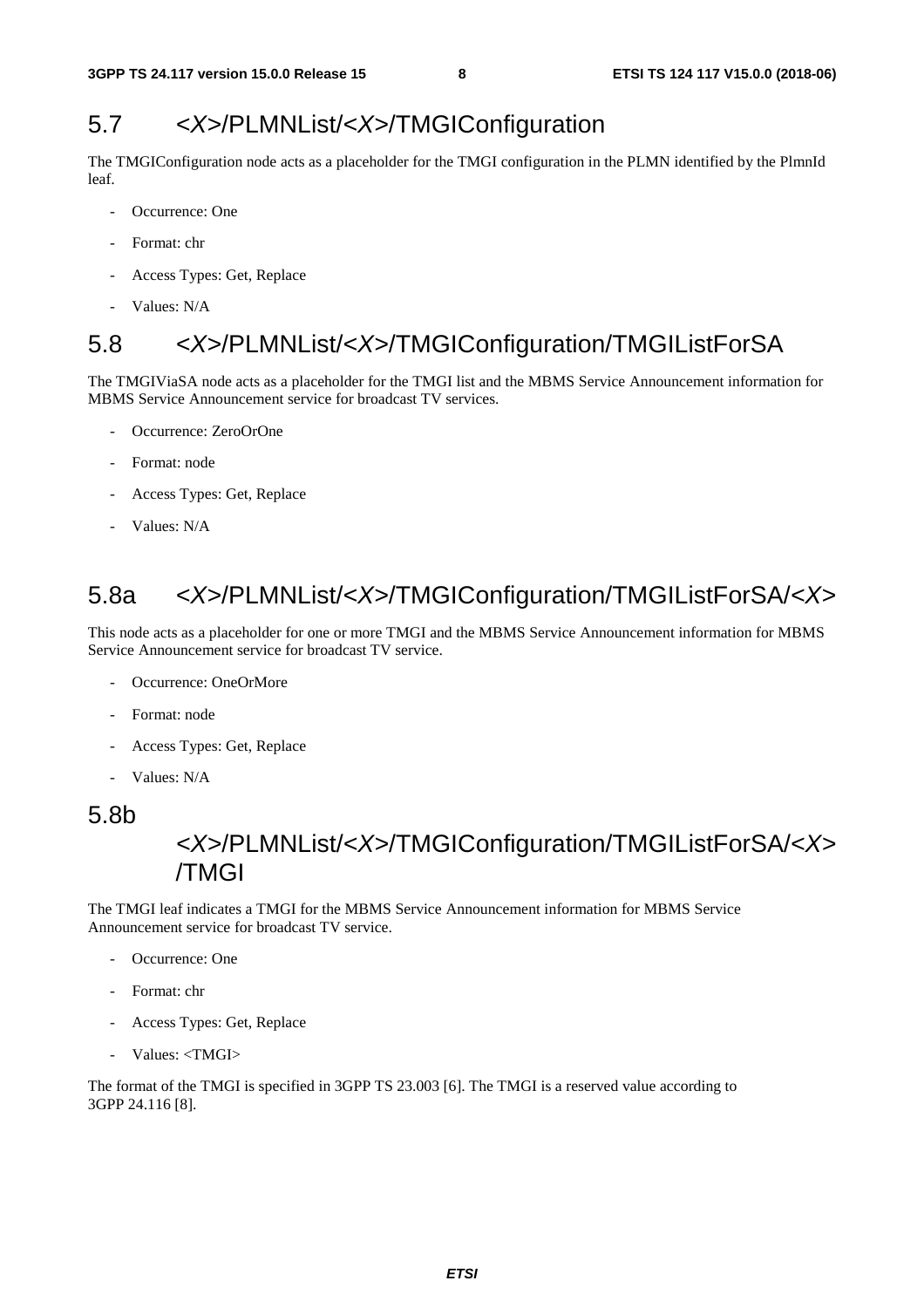#### 5.7 *<X>*/PLMNList/*<X>*/TMGIConfiguration

The TMGIConfiguration node acts as a placeholder for the TMGI configuration in the PLMN identified by the PlmnId leaf.

- Occurrence: One
- Format: chr
- Access Types: Get, Replace
- Values: N/A

#### 5.8 *<X>*/PLMNList/*<X>*/TMGIConfiguration/TMGIListForSA

The TMGIViaSA node acts as a placeholder for the TMGI list and the MBMS Service Announcement information for MBMS Service Announcement service for broadcast TV services.

- Occurrence: ZeroOrOne
- Format: node
- Access Types: Get, Replace
- Values: N/A

### 5.8a *<X>*/PLMNList/*<X>*/TMGIConfiguration/TMGIListForSA/*<X>*

This node acts as a placeholder for one or more TMGI and the MBMS Service Announcement information for MBMS Service Announcement service for broadcast TV service.

- Occurrence: OneOrMore
- Format: node
- Access Types: Get, Replace
- Values: N/A

#### 5.8b

#### *<X>*/PLMNList/*<X>*/TMGIConfiguration/TMGIListForSA/*<X>* /TMGI

The TMGI leaf indicates a TMGI for the MBMS Service Announcement information for MBMS Service Announcement service for broadcast TV service.

- Occurrence: One
- Format: chr
- Access Types: Get, Replace
- Values: <TMGI>

The format of the TMGI is specified in 3GPP TS 23.003 [6]. The TMGI is a reserved value according to 3GPP 24.116 [8].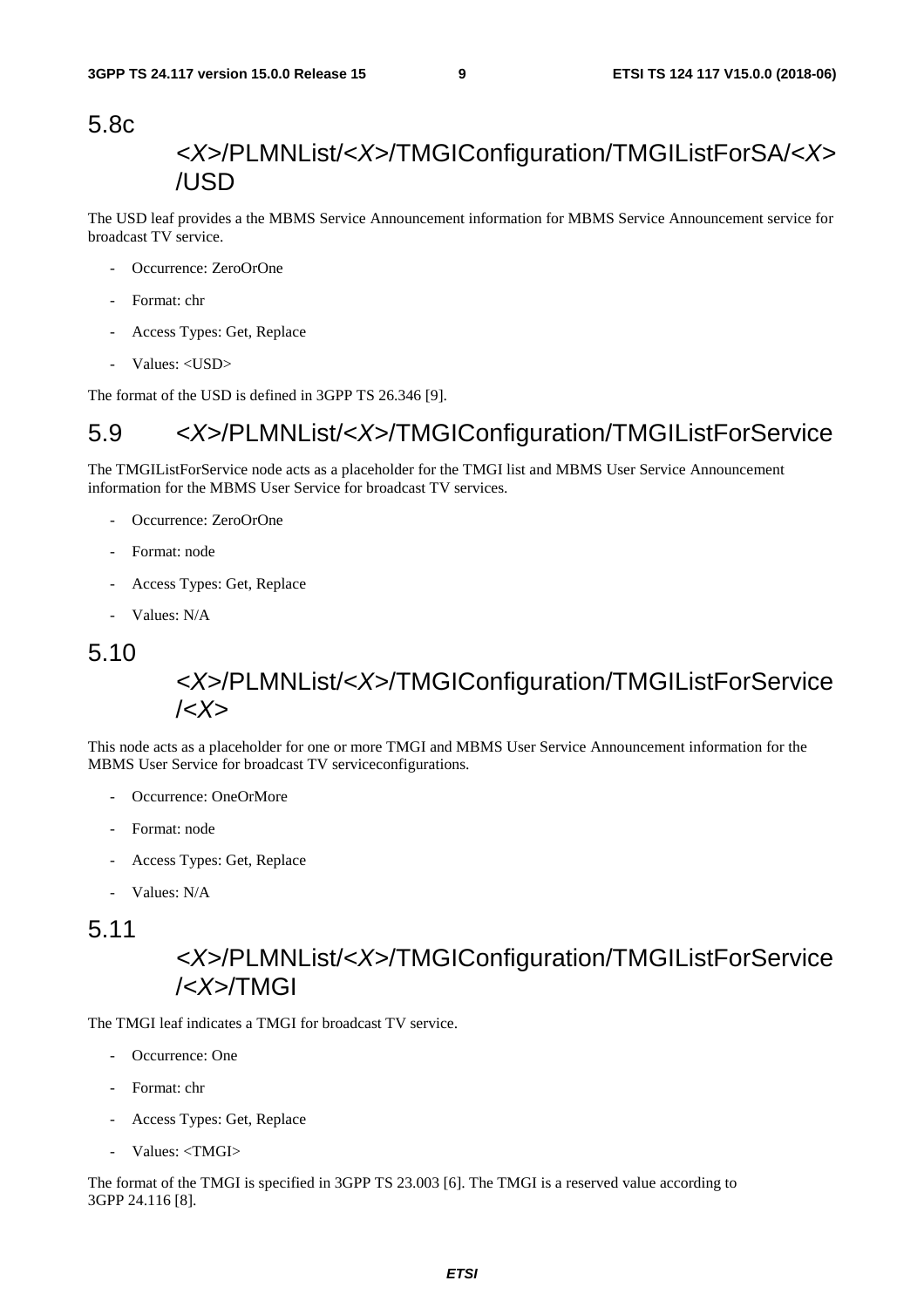#### 5.8c

#### *<X>*/PLMNList/*<X>*/TMGIConfiguration/TMGIListForSA/*<X>* /USD

The USD leaf provides a the MBMS Service Announcement information for MBMS Service Announcement service for broadcast TV service.

- Occurrence: ZeroOrOne
- Format: chr
- Access Types: Get, Replace
- Values: <USD>

The format of the USD is defined in 3GPP TS 26.346 [9].

#### 5.9 *<X>*/PLMNList/*<X>*/TMGIConfiguration/TMGIListForService

The TMGIListForService node acts as a placeholder for the TMGI list and MBMS User Service Announcement information for the MBMS User Service for broadcast TV services.

- Occurrence: ZeroOrOne
- Format: node
- Access Types: Get, Replace
- Values: N/A

#### 5.10

#### *<X>*/PLMNList/*<X>*/TMGIConfiguration/TMGIListForService /*<X>*

This node acts as a placeholder for one or more TMGI and MBMS User Service Announcement information for the MBMS User Service for broadcast TV serviceconfigurations.

- Occurrence: OneOrMore
- Format: node
- Access Types: Get, Replace
- Values: N/A

#### 5.11

#### *<X>*/PLMNList/*<X>*/TMGIConfiguration/TMGIListForService /*<X>*/TMGI

The TMGI leaf indicates a TMGI for broadcast TV service.

- Occurrence: One
- Format: chr
- Access Types: Get, Replace
- Values: <TMGI>

The format of the TMGI is specified in 3GPP TS 23.003 [6]. The TMGI is a reserved value according to 3GPP 24.116 [8].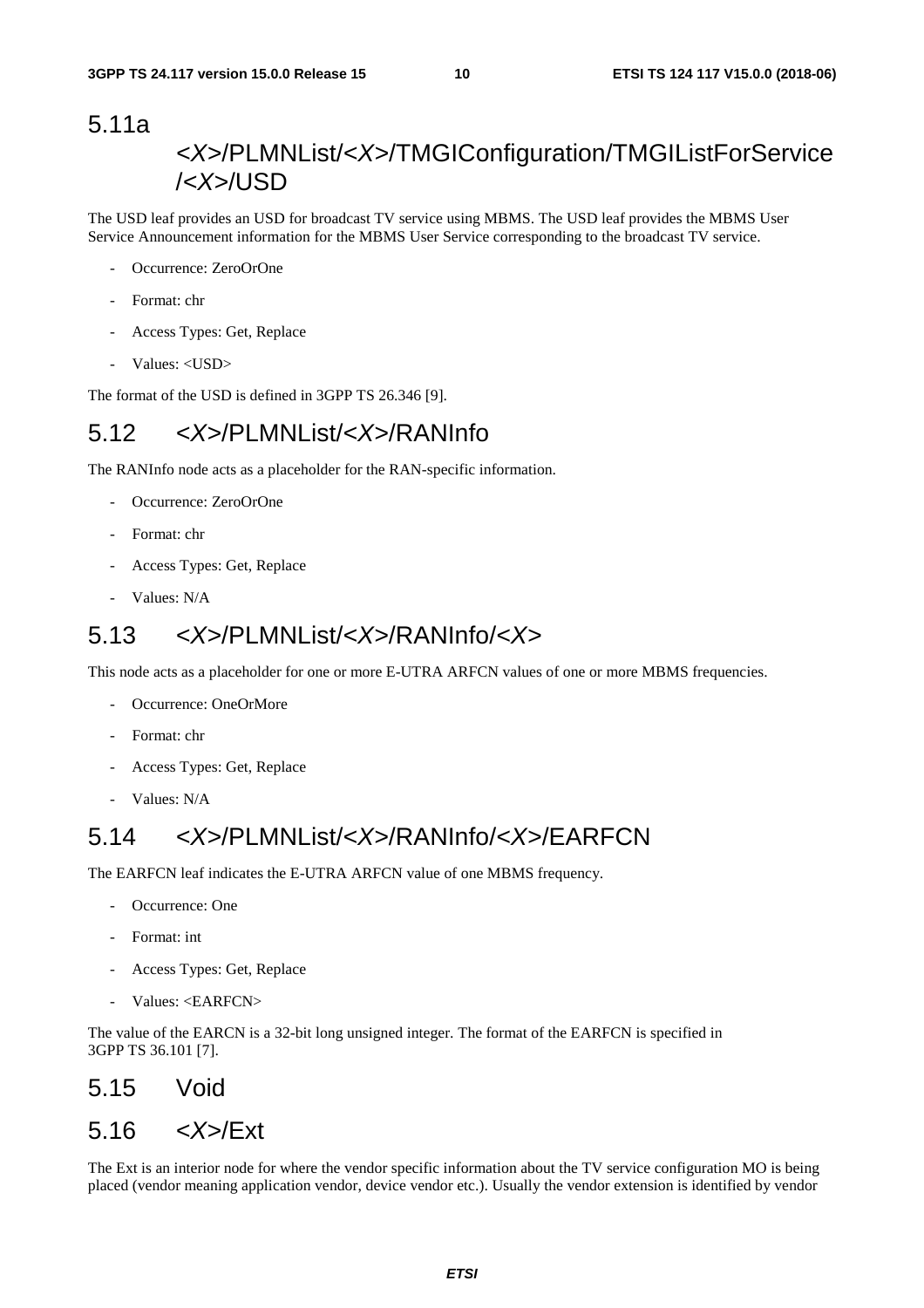#### 5.11a *<X>*/PLMNList/*<X>*/TMGIConfiguration/TMGIListForService /*<X>*/USD

The USD leaf provides an USD for broadcast TV service using MBMS. The USD leaf provides the MBMS User Service Announcement information for the MBMS User Service corresponding to the broadcast TV service.

- Occurrence: ZeroOrOne
- Format: chr
- Access Types: Get, Replace
- Values: <USD>

The format of the USD is defined in 3GPP TS 26.346 [9].

#### 5.12 *<X>*/PLMNList/*<X>*/RANInfo

The RANInfo node acts as a placeholder for the RAN-specific information.

- Occurrence: ZeroOrOne
- Format: chr
- Access Types: Get, Replace
- Values: N/A

#### 5.13 *<X>*/PLMNList/*<X>*/RANInfo/*<X>*

This node acts as a placeholder for one or more E-UTRA ARFCN values of one or more MBMS frequencies.

- Occurrence: OneOrMore
- Format: chr
- Access Types: Get, Replace
- Values: N/A

### 5.14 *<X>*/PLMNList/*<X>*/RANInfo/*<X>*/EARFCN

The EARFCN leaf indicates the E-UTRA ARFCN value of one MBMS frequency.

- Occurrence: One
- Format: int
- Access Types: Get, Replace
- Values: <EARFCN>

The value of the EARCN is a 32-bit long unsigned integer. The format of the EARFCN is specified in 3GPP TS 36.101 [7].

#### 5.15 Void

#### 5.16 *<X>*/Ext

The Ext is an interior node for where the vendor specific information about the TV service configuration MO is being placed (vendor meaning application vendor, device vendor etc.). Usually the vendor extension is identified by vendor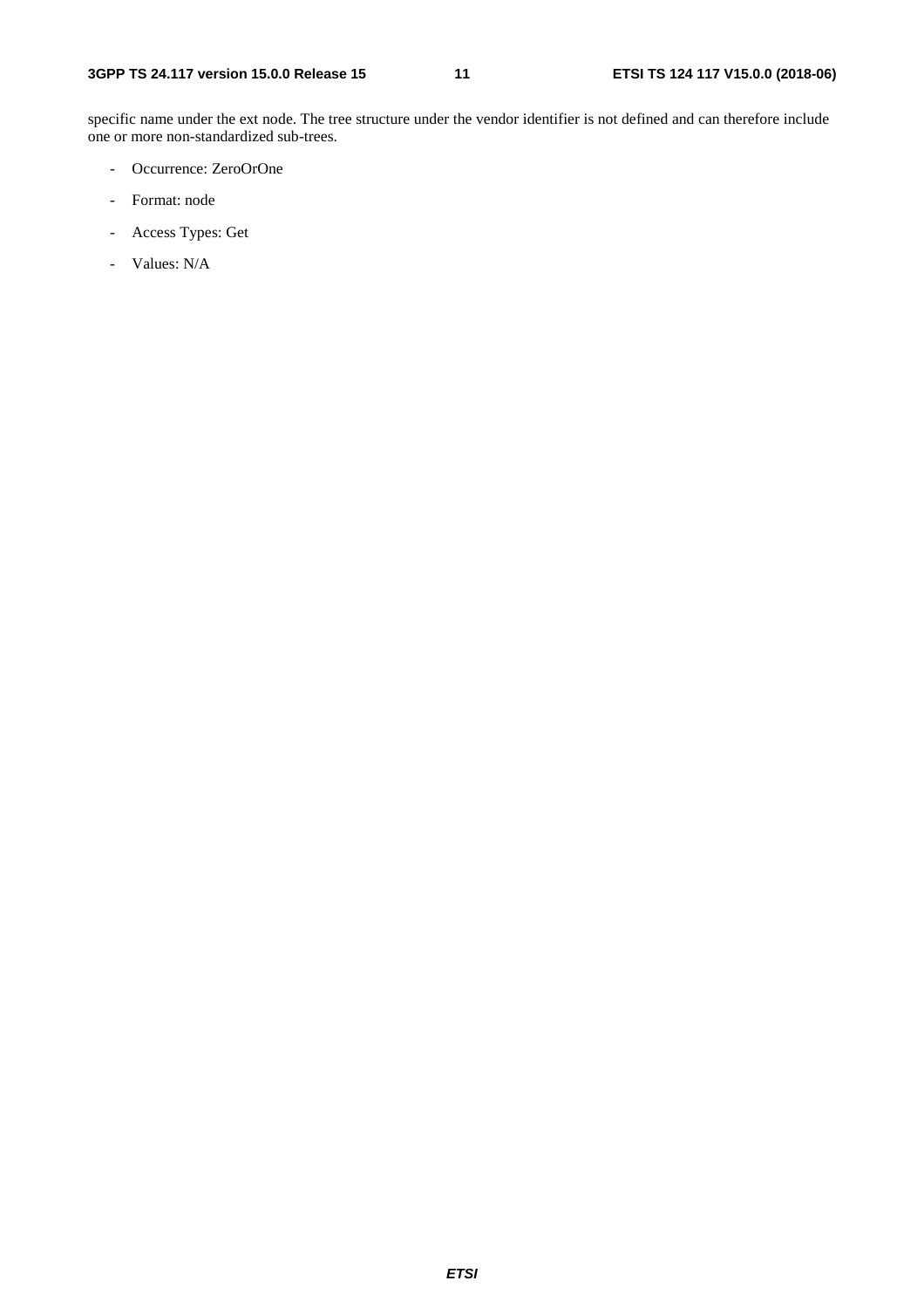specific name under the ext node. The tree structure under the vendor identifier is not defined and can therefore include one or more non-standardized sub-trees.

- Occurrence: ZeroOrOne
- Format: node
- Access Types: Get
- Values: N/A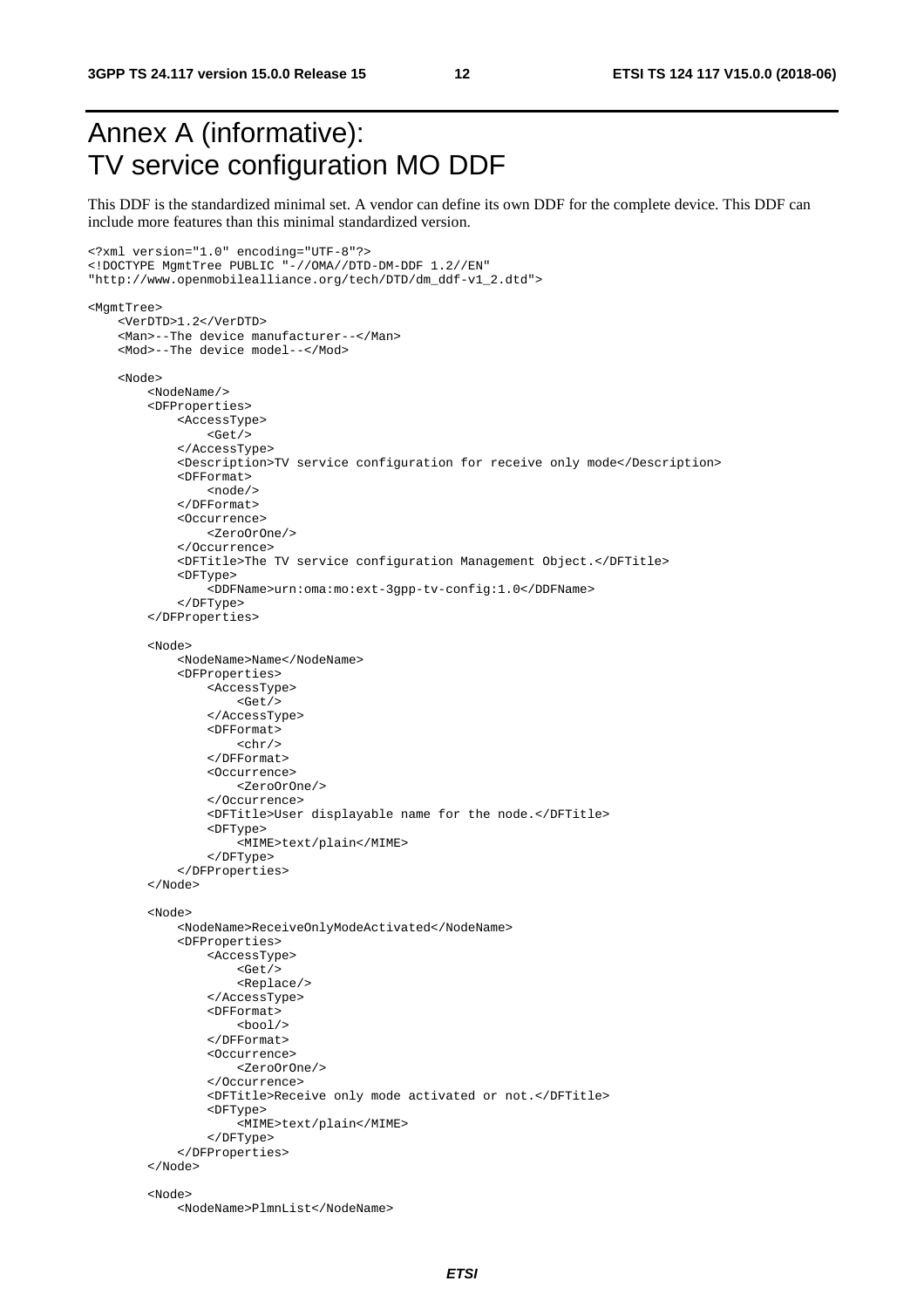**3GPP TS 24.117 version 15.0.0 Release 15 12 ETSI TS 124 117 V15.0.0 (2018-06)**

## Annex A (informative): TV service configuration MO DDF

This DDF is the standardized minimal set. A vendor can define its own DDF for the complete device. This DDF can include more features than this minimal standardized version.

```
<?xml version="1.0" encoding="UTF-8"?> 
<!DOCTYPE MgmtTree PUBLIC "-//OMA//DTD-DM-DDF 1.2//EN" 
"http://www.openmobilealliance.org/tech/DTD/dm_ddf-v1_2.dtd"> 
<MgmtTree> 
     <VerDTD>1.2</VerDTD> 
     <Man>--The device manufacturer--</Man> 
     <Mod>--The device model--</Mod> 
     <Node> 
          <NodeName/> 
          <DFProperties> 
              <AccessType> 
                   <Get/> 
              </AccessType> 
              <Description>TV service configuration for receive only mode</Description> 
              <DFFormat> 
                   <node/> 
              </DFFormat> 
              <Occurrence> 
                   <ZeroOrOne/> 
              </Occurrence> 
              <DFTitle>The TV service configuration Management Object.</DFTitle> 
              <DFType> 
                   <DDFName>urn:oma:mo:ext-3gpp-tv-config:1.0</DDFName> 
              </DFType> 
          </DFProperties> 
          <Node> 
              <NodeName>Name</NodeName> 
              <DFProperties> 
                   <AccessType> 
                      <Get/> 
                   </AccessType> 
                   <DFFormat> 
                      <chr/ </DFFormat> 
                   <Occurrence> 
                       <ZeroOrOne/> 
                   </Occurrence> 
                   <DFTitle>User displayable name for the node.</DFTitle> 
                   <DFType> 
                      <MIME>text/plain</MIME> 
                  </DFType> 
              </DFProperties> 
          </Node> 
          <Node> 
              <NodeName>ReceiveOnlyModeActivated</NodeName> 
              <DFProperties> 
                   <AccessType> 
                       <Get/> 
                       <Replace/> 
                   </AccessType> 
                   <DFFormat> 
                      <bool/> 
                   </DFFormat> 
                   <Occurrence> 
                       <ZeroOrOne/> 
                   </Occurrence> 
                   <DFTitle>Receive only mode activated or not.</DFTitle> 
                   <DFType> 
                       <MIME>text/plain</MIME> 
                   </DFType> 
              </DFProperties> 
          </Node> 
          <Node> 
              <NodeName>PlmnList</NodeName>
```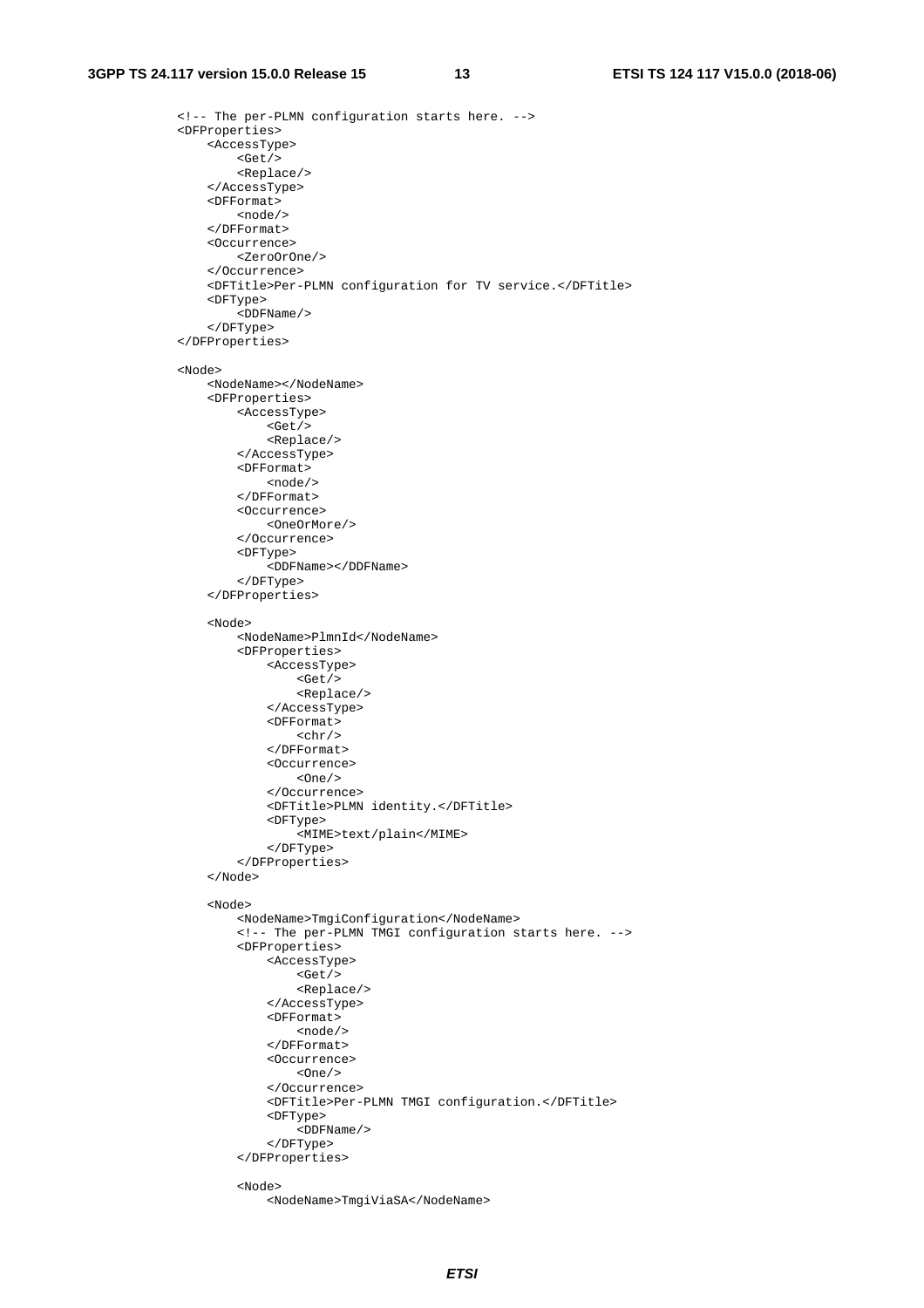```
 <!-- The per-PLMN configuration starts here. --> 
 <DFProperties> 
     <AccessType> 
         <Get/> 
          <Replace/> 
     </AccessType> 
     <DFFormat> 
         <node/> 
     </DFFormat> 
     <Occurrence> 
         <ZeroOrOne/> 
     </Occurrence> 
     <DFTitle>Per-PLMN configuration for TV service.</DFTitle> 
     <DFType> 
         <DDFName/> 
     </DFType> 
 </DFProperties> 
 <Node> 
     <NodeName></NodeName> 
     <DFProperties> 
          <AccessType> 
              <Get/> 
              <Replace/> 
          </AccessType> 
          <DFFormat> 
              <node/> 
          </DFFormat> 
          <Occurrence> 
              <OneOrMore/> 
          </Occurrence> 
          <DFType> 
              <DDFName></DDFName> 
          </DFType> 
     </DFProperties> 
     <Node> 
          <NodeName>PlmnId</NodeName> 
          <DFProperties> 
              <AccessType> 
                   <Get/> 
                   <Replace/> 
              </AccessType> 
              <DFFormat> 
                  <chr/ </DFFormat> 
              <Occurrence> 
                  <One/ </Occurrence> 
              <DFTitle>PLMN identity.</DFTitle> 
              <DFType> 
                   <MIME>text/plain</MIME> 
              </DFType> 
          </DFProperties> 
     </Node> 
     <Node> 
          <NodeName>TmgiConfiguration</NodeName> 
          <!-- The per-PLMN TMGI configuration starts here. --> 
          <DFProperties> 
              <AccessType> 
                   <Get/> 
                   <Replace/> 
              </AccessType> 
              <DFFormat> 
                   <node/> 
              </DFFormat> 
              <Occurrence> 
                  <One/>
              </Occurrence> 
              <DFTitle>Per-PLMN TMGI configuration.</DFTitle> 
              <DFType> 
                  <DDFName/> 
              </DFType> 
          </DFProperties> 
          <Node> 
              <NodeName>TmgiViaSA</NodeName>
```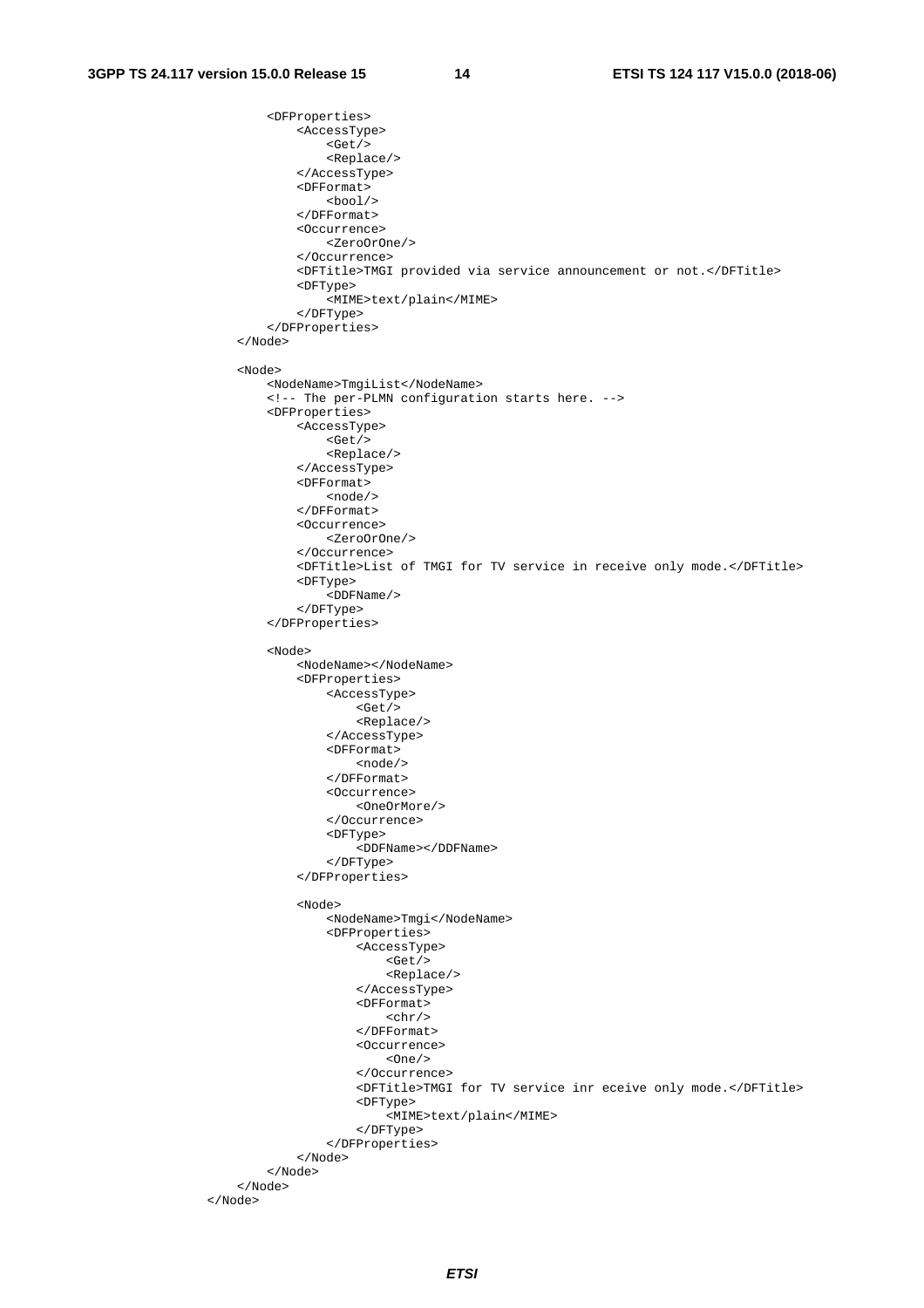```
 <DFProperties> 
              <AccessType> 
                   <Get/> 
                   <Replace/> 
               </AccessType> 
               <DFFormat> 
                  <bool/> </DFFormat> 
              <Occurrence> 
                   <ZeroOrOne/> 
               </Occurrence> 
               <DFTitle>TMGI provided via service announcement or not.</DFTitle> 
               <DFType> 
                   <MIME>text/plain</MIME> 
              </DFType> 
          </DFProperties> 
     </Node> 
     <Node> 
          <NodeName>TmgiList</NodeName> 
          <!-- The per-PLMN configuration starts here. --> 
          <DFProperties> 
              <AccessType> 
                  <Get/> 
                   <Replace/> 
              </AccessType> 
               <DFFormat> 
                   <node/> 
               </DFFormat> 
              <Occurrence> 
                   <ZeroOrOne/> 
               </Occurrence> 
               <DFTitle>List of TMGI for TV service in receive only mode.</DFTitle> 
              <DFType> 
                   <DDFName/> 
              </DFType> 
          </DFProperties> 
          <Node> 
               <NodeName></NodeName> 
               <DFProperties> 
                   <AccessType> 
                       <Get/> 
                       <Replace/> 
                   </AccessType> 
                   <DFFormat> 
                       <node/> 
                   </DFFormat> 
                   <Occurrence> 
                       <OneOrMore/> 
                   </Occurrence> 
                   <DFType> 
                        <DDFName></DDFName> 
                   </DFType> 
               </DFProperties> 
               <Node> 
                   <NodeName>Tmgi</NodeName> 
                   <DFProperties> 
                       <AccessType> 
                            <Get/> 
                            <Replace/> 
                        </AccessType> 
                        <DFFormat> 
                           <chr/> </DFFormat> 
                        <Occurrence> 
                           <One/>
                        </Occurrence> 
                        <DFTitle>TMGI for TV service inr eceive only mode.</DFTitle> 
                        <DFType> 
                            <MIME>text/plain</MIME> 
                        </DFType> 
                   </DFProperties> 
               </Node> 
          </Node> 
     </Node> 
 </Node>
```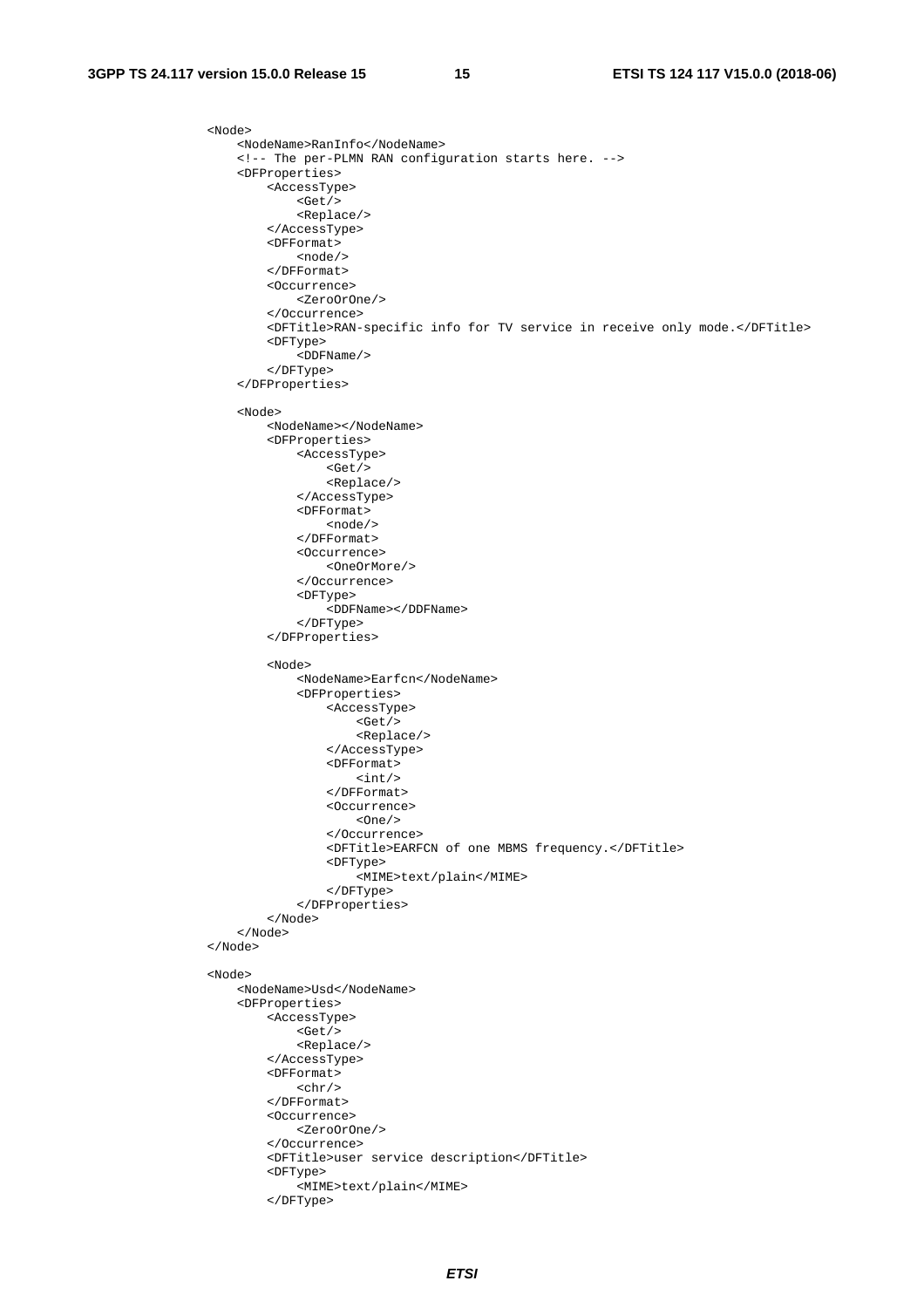```
 <Node> 
     <NodeName>RanInfo</NodeName> 
     <!-- The per-PLMN RAN configuration starts here. --> 
     <DFProperties> 
         <AccessType> 
             <Get/>
              <Replace/> 
          </AccessType> 
          <DFFormat> 
              <node/> 
          </DFFormat> 
          <Occurrence> 
              <ZeroOrOne/> 
          </Occurrence> 
          <DFTitle>RAN-specific info for TV service in receive only mode.</DFTitle> 
          <DFType> 
              <DDFName/> 
          </DFType> 
     </DFProperties> 
     <Node> 
          <NodeName></NodeName> 
          <DFProperties> 
              <AccessType> 
                  <Get/> 
                   <Replace/> 
              </AccessType> 
              <DFFormat> 
                  <node/> 
              </DFFormat> 
              <Occurrence> 
                   <OneOrMore/> 
              </Occurrence> 
              <DFType> 
                   <DDFName></DDFName> 
              </DFType> 
          </DFProperties> 
          <Node> 
              <NodeName>Earfcn</NodeName> 
              <DFProperties> 
                  <AccessType> 
                      <Get/ <Replace/> 
                   </AccessType> 
                   <DFFormat> 
                       <int/> 
                   </DFFormat> 
                   <Occurrence> 
                      <One/ </Occurrence> 
                   <DFTitle>EARFCN of one MBMS frequency.</DFTitle> 
                   <DFType> 
                       <MIME>text/plain</MIME> 
                   </DFType> 
              </DFProperties> 
          </Node> 
     </Node> 
 </Node> 
 <Node> 
     <NodeName>Usd</NodeName> 
     <DFProperties> 
          <AccessType> 
             <Get/> <Replace/> 
          </AccessType> 
          <DFFormat> 
             <chr/> </DFFormat> 
          <Occurrence> 
              <ZeroOrOne/> 
          </Occurrence> 
          <DFTitle>user service description</DFTitle> 
          <DFType> 
              <MIME>text/plain</MIME> 
          </DFType>
```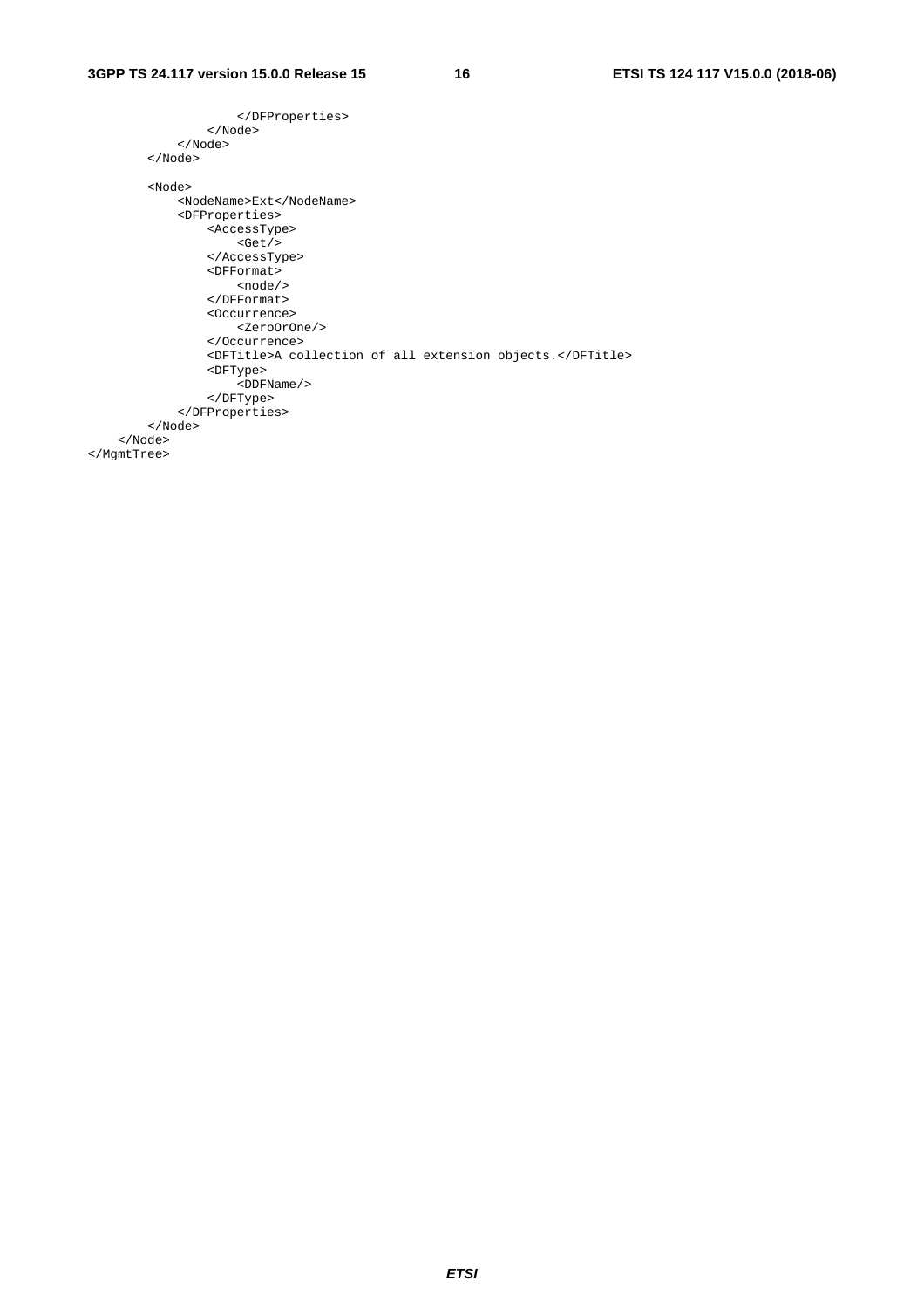```
 </DFProperties> 
                 </Node> 
             </Node> 
         </Node> 
         <Node> 
             <NodeName>Ext</NodeName> 
             <DFProperties> 
                 <AccessType> 
                     <Get/> 
                 </AccessType> 
 <DFFormat> 
<node/></
                 </DFFormat> 
                 <Occurrence> 
                    <ZeroOrOne/> 
                 </Occurrence> 
                 <DFTitle>A collection of all extension objects.</DFTitle> 
                 <DFType> 
                     <DDFName/> 
                 </DFType> 
             </DFProperties> 
         </Node> 
     </Node> 
</MgmtTree>
```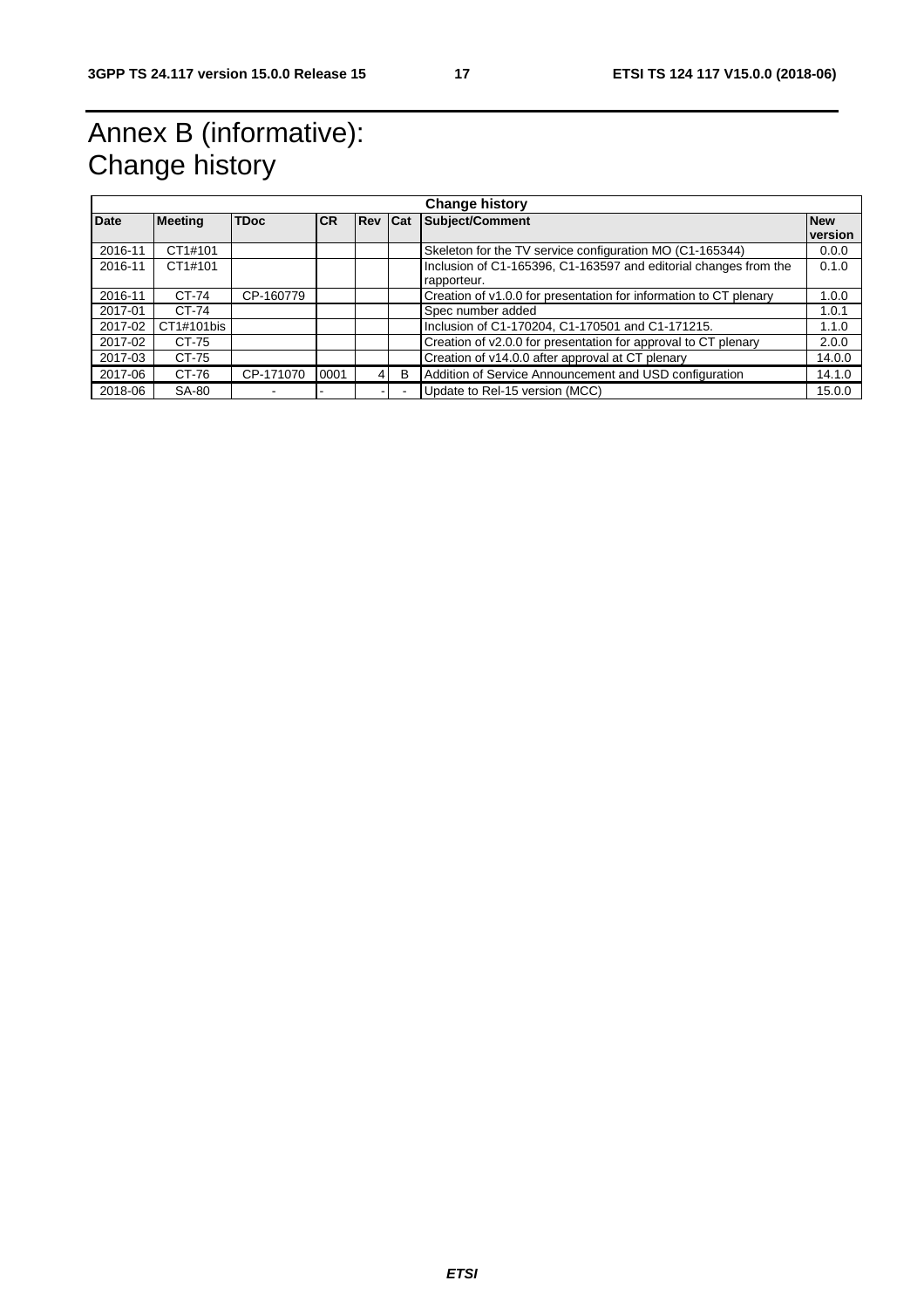## Annex B (informative): Change history

| <b>Change history</b> |                |             |           |                |   |                                                                   |            |  |  |
|-----------------------|----------------|-------------|-----------|----------------|---|-------------------------------------------------------------------|------------|--|--|
| <b>Date</b>           | <b>Meeting</b> | <b>TDoc</b> | <b>CR</b> | <b>Rev Cat</b> |   | Subject/Comment                                                   | <b>New</b> |  |  |
|                       |                |             |           |                |   |                                                                   | version    |  |  |
| 2016-11               | CT1#101        |             |           |                |   | Skeleton for the TV service configuration MO (C1-165344)          | 0.0.0      |  |  |
| 2016-11               | CT1#101        |             |           |                |   | Inclusion of C1-165396, C1-163597 and editorial changes from the  | 0.1.0      |  |  |
|                       |                |             |           |                |   | rapporteur.                                                       |            |  |  |
| 2016-11               | CT-74          | CP-160779   |           |                |   | Creation of v1.0.0 for presentation for information to CT plenary | 1.0.0      |  |  |
| 2017-01               | CT-74          |             |           |                |   | Spec number added                                                 | 1.0.1      |  |  |
| 2017-02               | CT1#101bis     |             |           |                |   | Inclusion of C1-170204, C1-170501 and C1-171215.                  | 1.1.0      |  |  |
| 2017-02               | CT-75          |             |           |                |   | Creation of v2.0.0 for presentation for approval to CT plenary    | 2.0.0      |  |  |
| 2017-03               | CT-75          |             |           |                |   | Creation of v14.0.0 after approval at CT plenary                  | 14.0.0     |  |  |
| 2017-06               | CT-76          | CP-171070   | 0001      | 4              | B | Addition of Service Announcement and USD configuration            | 14.1.0     |  |  |
| 2018-06               | SA-80          |             |           |                |   | Update to Rel-15 version (MCC)                                    | 15.0.0     |  |  |